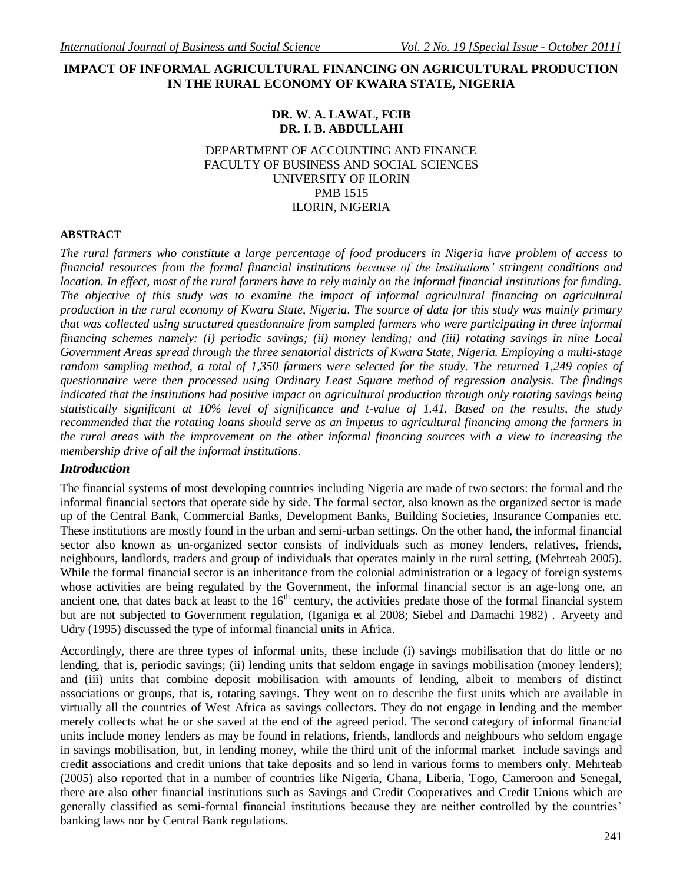## **IMPACT OF INFORMAL AGRICULTURAL FINANCING ON AGRICULTURAL PRODUCTION IN THE RURAL ECONOMY OF KWARA STATE, NIGERIA**

## **DR. W. A. LAWAL, FCIB DR. I. B. ABDULLAHI**

#### DEPARTMENT OF ACCOUNTING AND FINANCE FACULTY OF BUSINESS AND SOCIAL SCIENCES UNIVERSITY OF ILORIN PMB 1515 ILORIN, NIGERIA

#### **ABSTRACT**

*The rural farmers who constitute a large percentage of food producers in Nigeria have problem of access to financial resources from the formal financial institutions because of the institutions' stringent conditions and location. In effect, most of the rural farmers have to rely mainly on the informal financial institutions for funding. The objective of this study was to examine the impact of informal agricultural financing on agricultural production in the rural economy of Kwara State, Nigeria. The source of data for this study was mainly primary that was collected using structured questionnaire from sampled farmers who were participating in three informal financing schemes namely: (i) periodic savings; (ii) money lending; and (iii) rotating savings in nine Local Government Areas spread through the three senatorial districts of Kwara State, Nigeria. Employing a multi-stage random sampling method, a total of 1,350 farmers were selected for the study. The returned 1,249 copies of questionnaire were then processed using Ordinary Least Square method of regression analysis. The findings indicated that the institutions had positive impact on agricultural production through only rotating savings being statistically significant at 10% level of significance and t-value of 1.41. Based on the results, the study recommended that the rotating loans should serve as an impetus to agricultural financing among the farmers in the rural areas with the improvement on the other informal financing sources with a view to increasing the membership drive of all the informal institutions.*

### *Introduction*

The financial systems of most developing countries including Nigeria are made of two sectors: the formal and the informal financial sectors that operate side by side. The formal sector, also known as the organized sector is made up of the Central Bank, Commercial Banks, Development Banks, Building Societies, Insurance Companies etc. These institutions are mostly found in the urban and semi-urban settings. On the other hand, the informal financial sector also known as un-organized sector consists of individuals such as money lenders, relatives, friends, neighbours, landlords, traders and group of individuals that operates mainly in the rural setting, (Mehrteab 2005). While the formal financial sector is an inheritance from the colonial administration or a legacy of foreign systems whose activities are being regulated by the Government, the informal financial sector is an age-long one, an ancient one, that dates back at least to the  $16<sup>th</sup>$  century, the activities predate those of the formal financial system but are not subjected to Government regulation, (Iganiga et al 2008; Siebel and Damachi 1982) . Aryeety and Udry (1995) discussed the type of informal financial units in Africa.

Accordingly, there are three types of informal units, these include (i) savings mobilisation that do little or no lending, that is, periodic savings; (ii) lending units that seldom engage in savings mobilisation (money lenders); and (iii) units that combine deposit mobilisation with amounts of lending, albeit to members of distinct associations or groups, that is, rotating savings. They went on to describe the first units which are available in virtually all the countries of West Africa as savings collectors. They do not engage in lending and the member merely collects what he or she saved at the end of the agreed period. The second category of informal financial units include money lenders as may be found in relations, friends, landlords and neighbours who seldom engage in savings mobilisation, but, in lending money, while the third unit of the informal market include savings and credit associations and credit unions that take deposits and so lend in various forms to members only. Mehrteab (2005) also reported that in a number of countries like Nigeria, Ghana, Liberia, Togo, Cameroon and Senegal, there are also other financial institutions such as Savings and Credit Cooperatives and Credit Unions which are generally classified as semi-formal financial institutions because they are neither controlled by the countries' banking laws nor by Central Bank regulations.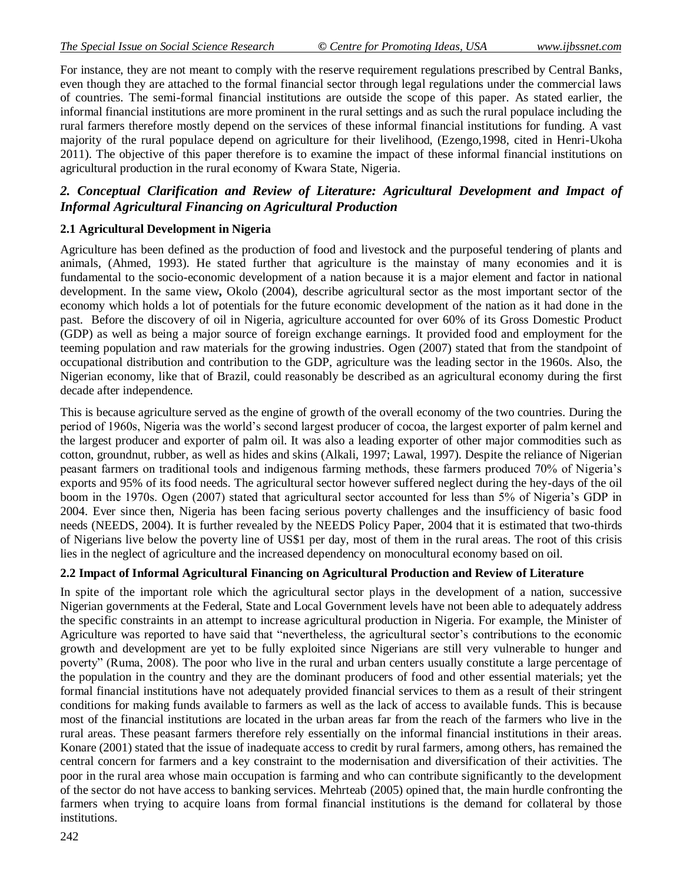For instance, they are not meant to comply with the reserve requirement regulations prescribed by Central Banks, even though they are attached to the formal financial sector through legal regulations under the commercial laws of countries. The semi-formal financial institutions are outside the scope of this paper. As stated earlier, the informal financial institutions are more prominent in the rural settings and as such the rural populace including the rural farmers therefore mostly depend on the services of these informal financial institutions for funding. A vast majority of the rural populace depend on agriculture for their livelihood, (Ezengo,1998, cited in Henri-Ukoha 2011). The objective of this paper therefore is to examine the impact of these informal financial institutions on agricultural production in the rural economy of Kwara State, Nigeria.

# *2. Conceptual Clarification and Review of Literature: Agricultural Development and Impact of Informal Agricultural Financing on Agricultural Production*

#### **2.1 Agricultural Development in Nigeria**

Agriculture has been defined as the production of food and livestock and the purposeful tendering of plants and animals, (Ahmed, 1993). He stated further that agriculture is the mainstay of many economies and it is fundamental to the socio-economic development of a nation because it is a major element and factor in national development. In the same view**,** Okolo (2004), describe agricultural sector as the most important sector of the economy which holds a lot of potentials for the future economic development of the nation as it had done in the past. Before the discovery of oil in Nigeria, agriculture accounted for over 60% of its Gross Domestic Product (GDP) as well as being a major source of foreign exchange earnings. It provided food and employment for the teeming population and raw materials for the growing industries. Ogen (2007) stated that from the standpoint of occupational distribution and contribution to the GDP, agriculture was the leading sector in the 1960s. Also, the Nigerian economy, like that of Brazil, could reasonably be described as an agricultural economy during the first decade after independence.

This is because agriculture served as the engine of growth of the overall economy of the two countries. During the period of 1960s, Nigeria was the world's second largest producer of cocoa, the largest exporter of palm kernel and the largest producer and exporter of palm oil. It was also a leading exporter of other major commodities such as cotton, groundnut, rubber, as well as hides and skins (Alkali, 1997; Lawal, 1997). Despite the reliance of Nigerian peasant farmers on traditional tools and indigenous farming methods, these farmers produced 70% of Nigeria's exports and 95% of its food needs. The agricultural sector however suffered neglect during the hey-days of the oil boom in the 1970s. Ogen (2007) stated that agricultural sector accounted for less than 5% of Nigeria's GDP in 2004. Ever since then, Nigeria has been facing serious poverty challenges and the insufficiency of basic food needs (NEEDS, 2004). It is further revealed by the NEEDS Policy Paper, 2004 that it is estimated that two-thirds of Nigerians live below the poverty line of US\$1 per day, most of them in the rural areas. The root of this crisis lies in the neglect of agriculture and the increased dependency on monocultural economy based on oil.

### **2.2 Impact of Informal Agricultural Financing on Agricultural Production and Review of Literature**

In spite of the important role which the agricultural sector plays in the development of a nation, successive Nigerian governments at the Federal, State and Local Government levels have not been able to adequately address the specific constraints in an attempt to increase agricultural production in Nigeria. For example, the Minister of Agriculture was reported to have said that "nevertheless, the agricultural sector's contributions to the economic growth and development are yet to be fully exploited since Nigerians are still very vulnerable to hunger and poverty" (Ruma, 2008). The poor who live in the rural and urban centers usually constitute a large percentage of the population in the country and they are the dominant producers of food and other essential materials; yet the formal financial institutions have not adequately provided financial services to them as a result of their stringent conditions for making funds available to farmers as well as the lack of access to available funds. This is because most of the financial institutions are located in the urban areas far from the reach of the farmers who live in the rural areas. These peasant farmers therefore rely essentially on the informal financial institutions in their areas. Konare (2001) stated that the issue of inadequate access to credit by rural farmers, among others, has remained the central concern for farmers and a key constraint to the modernisation and diversification of their activities. The poor in the rural area whose main occupation is farming and who can contribute significantly to the development of the sector do not have access to banking services. Mehrteab (2005) opined that, the main hurdle confronting the farmers when trying to acquire loans from formal financial institutions is the demand for collateral by those institutions.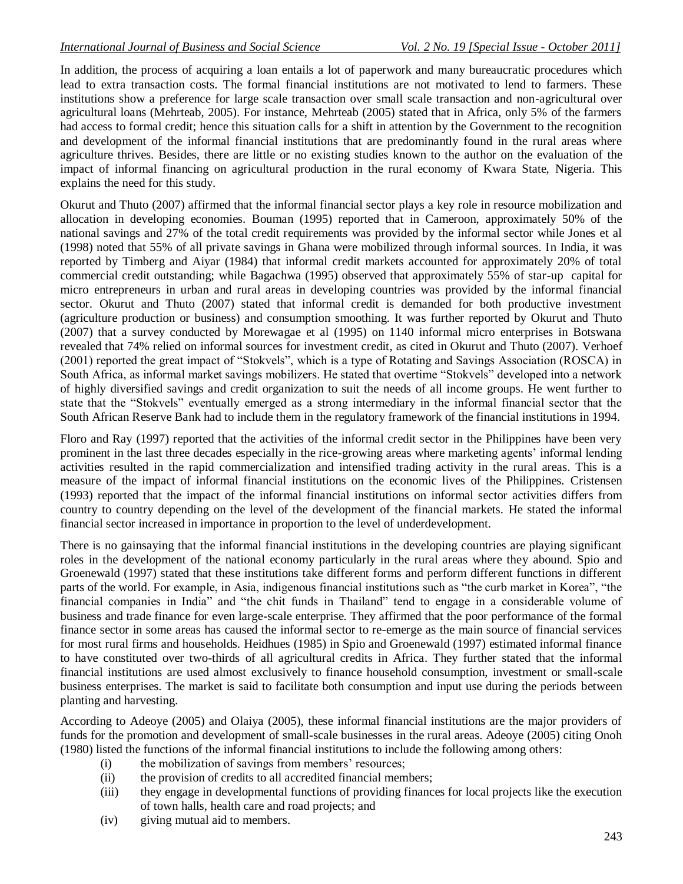In addition, the process of acquiring a loan entails a lot of paperwork and many bureaucratic procedures which lead to extra transaction costs. The formal financial institutions are not motivated to lend to farmers. These institutions show a preference for large scale transaction over small scale transaction and non-agricultural over agricultural loans (Mehrteab, 2005). For instance, Mehrteab (2005) stated that in Africa, only 5% of the farmers had access to formal credit; hence this situation calls for a shift in attention by the Government to the recognition and development of the informal financial institutions that are predominantly found in the rural areas where agriculture thrives. Besides, there are little or no existing studies known to the author on the evaluation of the impact of informal financing on agricultural production in the rural economy of Kwara State, Nigeria. This explains the need for this study.

Okurut and Thuto (2007) affirmed that the informal financial sector plays a key role in resource mobilization and allocation in developing economies. Bouman (1995) reported that in Cameroon, approximately 50% of the national savings and 27% of the total credit requirements was provided by the informal sector while Jones et al (1998) noted that 55% of all private savings in Ghana were mobilized through informal sources. In India, it was reported by Timberg and Aiyar (1984) that informal credit markets accounted for approximately 20% of total commercial credit outstanding; while Bagachwa (1995) observed that approximately 55% of star-up capital for micro entrepreneurs in urban and rural areas in developing countries was provided by the informal financial sector. Okurut and Thuto (2007) stated that informal credit is demanded for both productive investment (agriculture production or business) and consumption smoothing. It was further reported by Okurut and Thuto (2007) that a survey conducted by Morewagae et al (1995) on 1140 informal micro enterprises in Botswana revealed that 74% relied on informal sources for investment credit, as cited in Okurut and Thuto (2007). Verhoef (2001) reported the great impact of "Stokvels", which is a type of Rotating and Savings Association (ROSCA) in South Africa, as informal market savings mobilizers. He stated that overtime "Stokvels" developed into a network of highly diversified savings and credit organization to suit the needs of all income groups. He went further to state that the "Stokvels" eventually emerged as a strong intermediary in the informal financial sector that the South African Reserve Bank had to include them in the regulatory framework of the financial institutions in 1994.

Floro and Ray (1997) reported that the activities of the informal credit sector in the Philippines have been very prominent in the last three decades especially in the rice-growing areas where marketing agents' informal lending activities resulted in the rapid commercialization and intensified trading activity in the rural areas. This is a measure of the impact of informal financial institutions on the economic lives of the Philippines. Cristensen (1993) reported that the impact of the informal financial institutions on informal sector activities differs from country to country depending on the level of the development of the financial markets. He stated the informal financial sector increased in importance in proportion to the level of underdevelopment.

There is no gainsaying that the informal financial institutions in the developing countries are playing significant roles in the development of the national economy particularly in the rural areas where they abound. Spio and Groenewald (1997) stated that these institutions take different forms and perform different functions in different parts of the world. For example, in Asia, indigenous financial institutions such as "the curb market in Korea", "the financial companies in India" and "the chit funds in Thailand" tend to engage in a considerable volume of business and trade finance for even large-scale enterprise. They affirmed that the poor performance of the formal finance sector in some areas has caused the informal sector to re-emerge as the main source of financial services for most rural firms and households. Heidhues (1985) in Spio and Groenewald (1997) estimated informal finance to have constituted over two-thirds of all agricultural credits in Africa. They further stated that the informal financial institutions are used almost exclusively to finance household consumption, investment or small-scale business enterprises. The market is said to facilitate both consumption and input use during the periods between planting and harvesting.

According to Adeoye (2005) and Olaiya (2005), these informal financial institutions are the major providers of funds for the promotion and development of small-scale businesses in the rural areas. Adeoye (2005) citing Onoh (1980) listed the functions of the informal financial institutions to include the following among others:

- (i) the mobilization of savings from members' resources;
- (ii) the provision of credits to all accredited financial members;
- (iii) they engage in developmental functions of providing finances for local projects like the execution of town halls, health care and road projects; and
- (iv) giving mutual aid to members.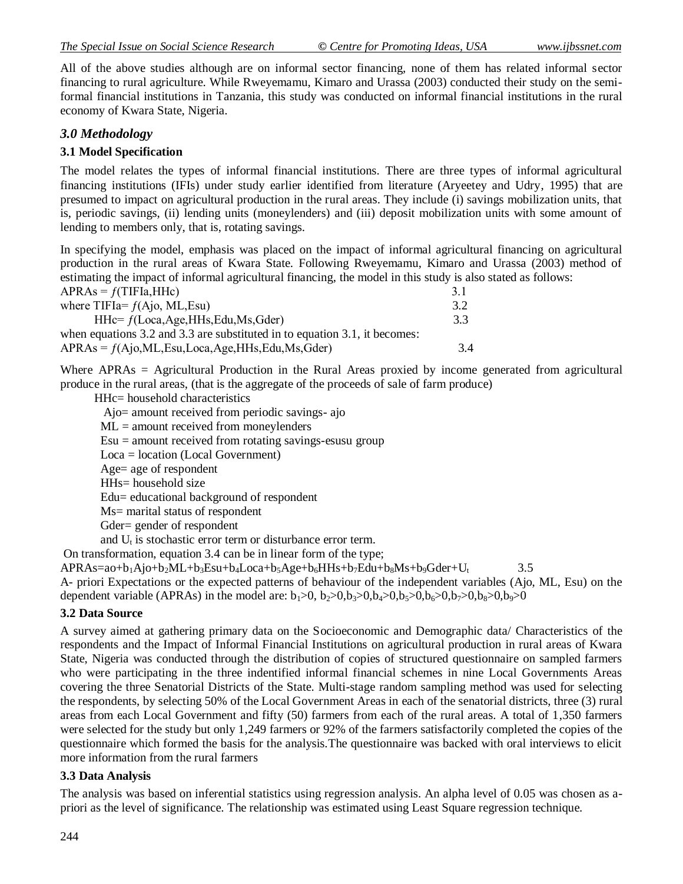All of the above studies although are on informal sector financing, none of them has related informal sector financing to rural agriculture. While Rweyemamu, Kimaro and Urassa (2003) conducted their study on the semiformal financial institutions in Tanzania, this study was conducted on informal financial institutions in the rural economy of Kwara State, Nigeria.

# *3.0 Methodology*

# **3.1 Model Specification**

The model relates the types of informal financial institutions. There are three types of informal agricultural financing institutions (IFIs) under study earlier identified from literature (Aryeetey and Udry, 1995) that are presumed to impact on agricultural production in the rural areas. They include (i) savings mobilization units, that is, periodic savings, (ii) lending units (moneylenders) and (iii) deposit mobilization units with some amount of lending to members only, that is, rotating savings.

In specifying the model, emphasis was placed on the impact of informal agricultural financing on agricultural production in the rural areas of Kwara State. Following Rweyemamu, Kimaro and Urassa (2003) method of estimating the impact of informal agricultural financing, the model in this study is also stated as follows:

| $APRAs = f(TIFIa, HHe)$                                                    | 31  |
|----------------------------------------------------------------------------|-----|
| where $TIFIa = f(Ajo, ML, Esu)$                                            | 3.2 |
| $HHe = f(Loca, Age, HHs, Edu, Ms, Gder)$                                   | 33  |
| when equations 3.2 and 3.3 are substituted in to equation 3.1, it becomes: |     |
| $APRAs = f(Ajo, ML, Esu, Loca, Age, HHs, Edu, Ms, Gder)$                   | 34  |

Where APRAs = Agricultural Production in the Rural Areas proxied by income generated from agricultural produce in the rural areas, (that is the aggregate of the proceeds of sale of farm produce)

HHc= household characteristics

- Ajo= amount received from periodic savings- ajo
- $ML =$  amount received from moneylenders

 $Esu =$  amount received from rotating savings-esusu group

Loca = location (Local Government)

Age= age of respondent

HHs= household size

Edu= educational background of respondent

Ms= marital status of respondent

Gder= gender of respondent

and  $U_t$  is stochastic error term or disturbance error term.

On transformation, equation 3.4 can be in linear form of the type;

 $APRAs = ao+b<sub>1</sub>Ajo+b<sub>2</sub>ML+b<sub>3</sub>Esu+b<sub>4</sub>Loca+b<sub>5</sub>Age+b<sub>6</sub>HHs+b<sub>7</sub>Edu+b<sub>8</sub>Ms+b<sub>9</sub>Gder+U<sub>t</sub>$  3.5

A- priori Expectations or the expected patterns of behaviour of the independent variables (Ajo, ML, Esu) on the dependent variable (APRAs) in the model are:  $b_1>0$ ,  $b_2>0$ ,  $b_3>0$ ,  $b_4>0$ ,  $b_5>0$ ,  $b_6>0$ ,  $b_7>0$ ,  $b_8>0$ ,  $b_9>0$ 

## **3.2 Data Source**

A survey aimed at gathering primary data on the Socioeconomic and Demographic data/ Characteristics of the respondents and the Impact of Informal Financial Institutions on agricultural production in rural areas of Kwara State, Nigeria was conducted through the distribution of copies of structured questionnaire on sampled farmers who were participating in the three indentified informal financial schemes in nine Local Governments Areas covering the three Senatorial Districts of the State. Multi-stage random sampling method was used for selecting the respondents, by selecting 50% of the Local Government Areas in each of the senatorial districts, three (3) rural areas from each Local Government and fifty (50) farmers from each of the rural areas. A total of 1,350 farmers were selected for the study but only 1,249 farmers or 92% of the farmers satisfactorily completed the copies of the questionnaire which formed the basis for the analysis.The questionnaire was backed with oral interviews to elicit more information from the rural farmers

## **3.3 Data Analysis**

The analysis was based on inferential statistics using regression analysis. An alpha level of 0.05 was chosen as apriori as the level of significance. The relationship was estimated using Least Square regression technique.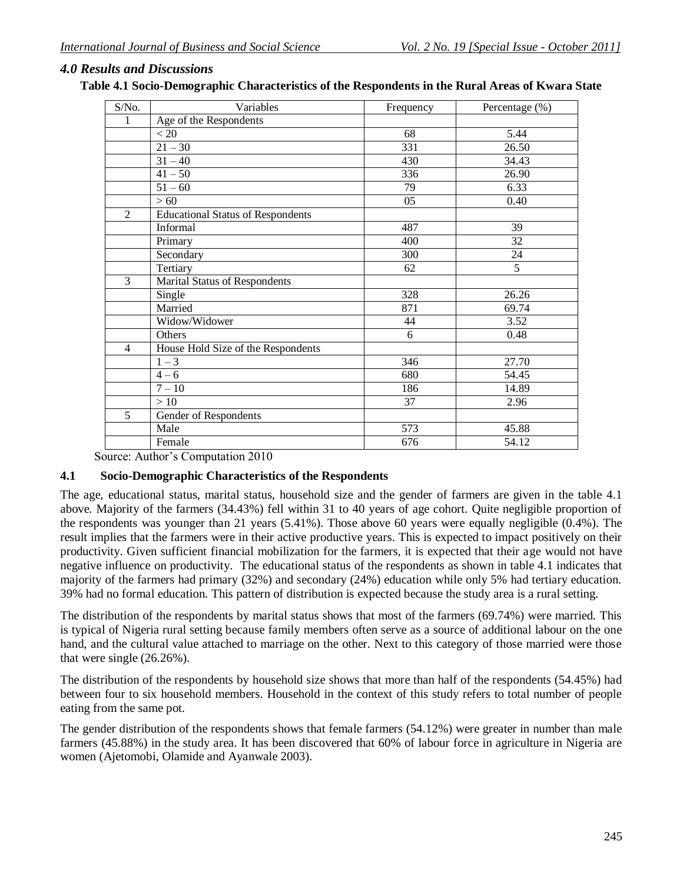## *4.0 Results and Discussions*

| Table 4.1 Socio-Demographic Characteristics of the Respondents in the Rural Areas of Kwara State |  |  |  |
|--------------------------------------------------------------------------------------------------|--|--|--|
|                                                                                                  |  |  |  |

| S/No.          | Variables                                | Frequency        | Percentage (%) |
|----------------|------------------------------------------|------------------|----------------|
| 1              | Age of the Respondents                   |                  |                |
|                | < 20                                     | 68               | 5.44           |
|                | $21 - 30$                                | 331              | 26.50          |
|                | $31 - 40$                                | 430              | 34.43          |
|                | $\frac{41-50}{ }$                        | 336              | 26.90          |
|                | $51 - 60$                                | 79               | 6.33           |
|                | > 60                                     | 05               | 0.40           |
| $\overline{2}$ | <b>Educational Status of Respondents</b> |                  |                |
|                | Informal                                 | 487              | 39             |
|                | Primary                                  | 400              | 32             |
|                | Secondary                                | 300              | 24             |
|                | Tertiary                                 | 62               | $\overline{5}$ |
| $\overline{3}$ | Marital Status of Respondents            |                  |                |
|                | Single                                   | $\overline{328}$ | 26.26          |
|                | Married                                  | 871              | 69.74          |
|                | Widow/Widower                            | 44               | 3.52           |
|                | Others                                   | 6                | 0.48           |
| $\overline{4}$ | House Hold Size of the Respondents       |                  |                |
|                | $1 - 3$                                  | 346              | 27.70          |
|                | $4 - 6$                                  | 680              | 54.45          |
|                | $7 - 10$                                 | 186              | 14.89          |
|                | >10                                      | 37               | 2.96           |
| 5              | Gender of Respondents                    |                  |                |
|                | Male                                     | 573              | 45.88          |
|                | Female                                   | 676              | 54.12          |

Source: Author's Computation 2010

### **4.1 Socio-Demographic Characteristics of the Respondents**

The age, educational status, marital status, household size and the gender of farmers are given in the table 4.1 above. Majority of the farmers (34.43%) fell within 31 to 40 years of age cohort. Quite negligible proportion of the respondents was younger than 21 years (5.41%). Those above 60 years were equally negligible (0.4%). The result implies that the farmers were in their active productive years. This is expected to impact positively on their productivity. Given sufficient financial mobilization for the farmers, it is expected that their age would not have negative influence on productivity. The educational status of the respondents as shown in table 4.1 indicates that majority of the farmers had primary (32%) and secondary (24%) education while only 5% had tertiary education. 39% had no formal education. This pattern of distribution is expected because the study area is a rural setting.

The distribution of the respondents by marital status shows that most of the farmers (69.74%) were married. This is typical of Nigeria rural setting because family members often serve as a source of additional labour on the one hand, and the cultural value attached to marriage on the other. Next to this category of those married were those that were single (26.26%).

The distribution of the respondents by household size shows that more than half of the respondents (54.45%) had between four to six household members. Household in the context of this study refers to total number of people eating from the same pot.

The gender distribution of the respondents shows that female farmers (54.12%) were greater in number than male farmers (45.88%) in the study area. It has been discovered that 60% of labour force in agriculture in Nigeria are women (Ajetomobi, Olamide and Ayanwale 2003).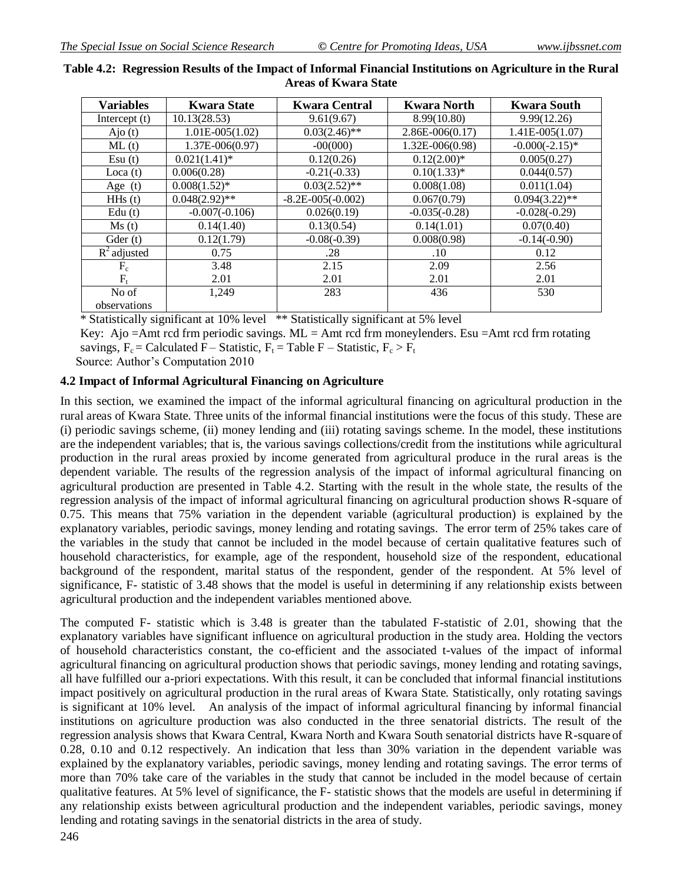| <b>Variables</b> | <b>Kwara State</b> | <b>Kwara Central</b>  | <b>Kwara North</b>  | <b>Kwara South</b> |
|------------------|--------------------|-----------------------|---------------------|--------------------|
| Intercept $(t)$  | 10.13(28.53)       | 9.61(9.67)            | 8.99(10.80)         | 9.99(12.26)        |
| $A$ jo $(t)$     | $1.01E-005(1.02)$  | $0.03(2.46)$ **       | $2.86E-006(0.17)$   | $1.41E-005(1.07)$  |
| ML(t)            | $1.37E-006(0.97)$  | $-00(000)$            | $1.32E - 006(0.98)$ | $-0.000(-2.15)*$   |
| Esu(t)           | $0.021(1.41)$ *    | 0.12(0.26)            | $0.12(2.00)*$       | 0.005(0.27)        |
| Loca $(t)$       | 0.006(0.28)        | $-0.21(-0.33)$        | $0.10(1.33)*$       | 0.044(0.57)        |
| Age $(t)$        | $0.008(1.52)$ *    | $0.03(2.52)$ **       | 0.008(1.08)         | 0.011(1.04)        |
| $H$ Hs $(t)$     | $0.048(2.92)$ **   | $-8.2E - 005(-0.002)$ | 0.067(0.79)         | $0.094(3.22)$ **   |
| Edu $(t)$        | $-0.007(-0.106)$   | 0.026(0.19)           | $-0.035(-0.28)$     | $-0.028(-0.29)$    |
| Ms(t)            | 0.14(1.40)         | 0.13(0.54)            | 0.14(1.01)          | 0.07(0.40)         |
| Gder $(t)$       | 0.12(1.79)         | $-0.08(-0.39)$        | 0.008(0.98)         | $-0.14(-0.90)$     |
| $R^2$ adjusted   | 0.75               | .28                   | .10                 | 0.12               |
| $F_c$            | 3.48               | 2.15                  | 2.09                | 2.56               |
| $F_t$            | 2.01               | 2.01                  | 2.01                | 2.01               |
| No of            | 1,249              | 283                   | 436                 | 530                |
| observations     |                    |                       |                     |                    |

## **Table 4.2: Regression Results of the Impact of Informal Financial Institutions on Agriculture in the Rural Areas of Kwara State**

\* Statistically significant at 10% level \*\* Statistically significant at 5% level

Key: Ajo = Amt rcd frm periodic savings.  $ML =$  Amt rcd frm moneylenders. Esu = Amt rcd frm rotating

savings,  $F_c$  = Calculated F – Statistic,  $F_t$  = Table F – Statistic,  $F_c$  >  $F_t$ 

Source: Author's Computation 2010

## **4.2 Impact of Informal Agricultural Financing on Agriculture**

In this section, we examined the impact of the informal agricultural financing on agricultural production in the rural areas of Kwara State. Three units of the informal financial institutions were the focus of this study. These are (i) periodic savings scheme, (ii) money lending and (iii) rotating savings scheme. In the model, these institutions are the independent variables; that is, the various savings collections/credit from the institutions while agricultural production in the rural areas proxied by income generated from agricultural produce in the rural areas is the dependent variable. The results of the regression analysis of the impact of informal agricultural financing on agricultural production are presented in Table 4.2. Starting with the result in the whole state, the results of the regression analysis of the impact of informal agricultural financing on agricultural production shows R-square of 0.75. This means that 75% variation in the dependent variable (agricultural production) is explained by the explanatory variables, periodic savings, money lending and rotating savings. The error term of 25% takes care of the variables in the study that cannot be included in the model because of certain qualitative features such of household characteristics, for example, age of the respondent, household size of the respondent, educational background of the respondent, marital status of the respondent, gender of the respondent. At 5% level of significance, F- statistic of 3.48 shows that the model is useful in determining if any relationship exists between agricultural production and the independent variables mentioned above.

The computed F- statistic which is 3.48 is greater than the tabulated F-statistic of 2.01, showing that the explanatory variables have significant influence on agricultural production in the study area. Holding the vectors of household characteristics constant, the co-efficient and the associated t-values of the impact of informal agricultural financing on agricultural production shows that periodic savings, money lending and rotating savings, all have fulfilled our a-priori expectations. With this result, it can be concluded that informal financial institutions impact positively on agricultural production in the rural areas of Kwara State. Statistically, only rotating savings is significant at 10% level. An analysis of the impact of informal agricultural financing by informal financial institutions on agriculture production was also conducted in the three senatorial districts. The result of the regression analysis shows that Kwara Central, Kwara North and Kwara South senatorial districts have R-square of 0.28, 0.10 and 0.12 respectively. An indication that less than 30% variation in the dependent variable was explained by the explanatory variables, periodic savings, money lending and rotating savings. The error terms of more than 70% take care of the variables in the study that cannot be included in the model because of certain qualitative features. At 5% level of significance, the F- statistic shows that the models are useful in determining if any relationship exists between agricultural production and the independent variables, periodic savings, money lending and rotating savings in the senatorial districts in the area of study.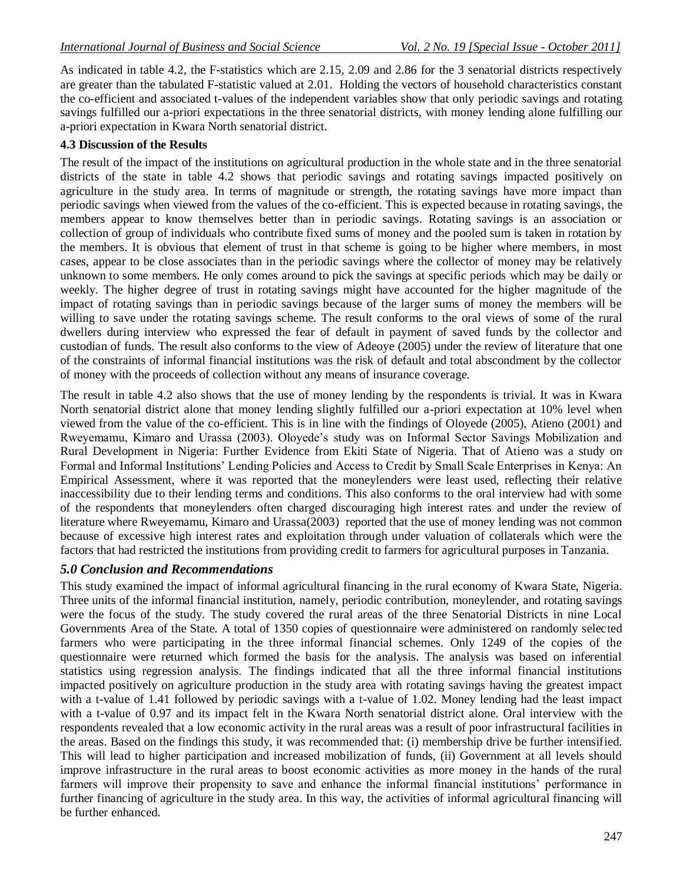As indicated in table 4.2, the F-statistics which are 2.15, 2.09 and 2.86 for the 3 senatorial districts respectively are greater than the tabulated F-statistic valued at 2.01. Holding the vectors of household characteristics constant the co-efficient and associated t-values of the independent variables show that only periodic savings and rotating savings fulfilled our a-priori expectations in the three senatorial districts, with money lending alone fulfilling our a-priori expectation in Kwara North senatorial district.

## **4.3 Discussion of the Results**

The result of the impact of the institutions on agricultural production in the whole state and in the three senatorial districts of the state in table 4.2 shows that periodic savings and rotating savings impacted positively on agriculture in the study area. In terms of magnitude or strength, the rotating savings have more impact than periodic savings when viewed from the values of the co-efficient. This is expected because in rotating savings, the members appear to know themselves better than in periodic savings. Rotating savings is an association or collection of group of individuals who contribute fixed sums of money and the pooled sum is taken in rotation by the members. It is obvious that element of trust in that scheme is going to be higher where members, in most cases, appear to be close associates than in the periodic savings where the collector of money may be relatively unknown to some members. He only comes around to pick the savings at specific periods which may be daily or weekly. The higher degree of trust in rotating savings might have accounted for the higher magnitude of the impact of rotating savings than in periodic savings because of the larger sums of money the members will be willing to save under the rotating savings scheme. The result conforms to the oral views of some of the rural dwellers during interview who expressed the fear of default in payment of saved funds by the collector and custodian of funds. The result also conforms to the view of Adeoye (2005) under the review of literature that one of the constraints of informal financial institutions was the risk of default and total abscondment by the collector of money with the proceeds of collection without any means of insurance coverage.

The result in table 4.2 also shows that the use of money lending by the respondents is trivial. It was in Kwara North senatorial district alone that money lending slightly fulfilled our a-priori expectation at 10% level when viewed from the value of the co-efficient. This is in line with the findings of Oloyede (2005), Atieno (2001) and Rweyemamu, Kimaro and Urassa (2003). Oloyede's study was on Informal Sector Savings Mobilization and Rural Development in Nigeria: Further Evidence from Ekiti State of Nigeria. That of Atieno was a study on Formal and Informal Institutions' Lending Policies and Access to Credit by Small Scale Enterprises in Kenya: An Empirical Assessment, where it was reported that the moneylenders were least used, reflecting their relative inaccessibility due to their lending terms and conditions. This also conforms to the oral interview had with some of the respondents that moneylenders often charged discouraging high interest rates and under the review of literature where Rweyemamu, Kimaro and Urassa(2003) reported that the use of money lending was not common because of excessive high interest rates and exploitation through under valuation of collaterals which were the factors that had restricted the institutions from providing credit to farmers for agricultural purposes in Tanzania.

## *5.0 Conclusion and Recommendations*

This study examined the impact of informal agricultural financing in the rural economy of Kwara State, Nigeria. Three units of the informal financial institution, namely, periodic contribution, moneylender, and rotating savings were the focus of the study. The study covered the rural areas of the three Senatorial Districts in nine Local Governments Area of the State. A total of 1350 copies of questionnaire were administered on randomly selected farmers who were participating in the three informal financial schemes. Only 1249 of the copies of the questionnaire were returned which formed the basis for the analysis. The analysis was based on inferential statistics using regression analysis. The findings indicated that all the three informal financial institutions impacted positively on agriculture production in the study area with rotating savings having the greatest impact with a t-value of 1.41 followed by periodic savings with a t-value of 1.02. Money lending had the least impact with a t-value of 0.97 and its impact felt in the Kwara North senatorial district alone. Oral interview with the respondents revealed that a low economic activity in the rural areas was a result of poor infrastructural facilities in the areas. Based on the findings this study, it was recommended that: (i) membership drive be further intensified. This will lead to higher participation and increased mobilization of funds, (ii) Government at all levels should improve infrastructure in the rural areas to boost economic activities as more money in the hands of the rural farmers will improve their propensity to save and enhance the informal financial institutions' performance in further financing of agriculture in the study area. In this way, the activities of informal agricultural financing will be further enhanced.